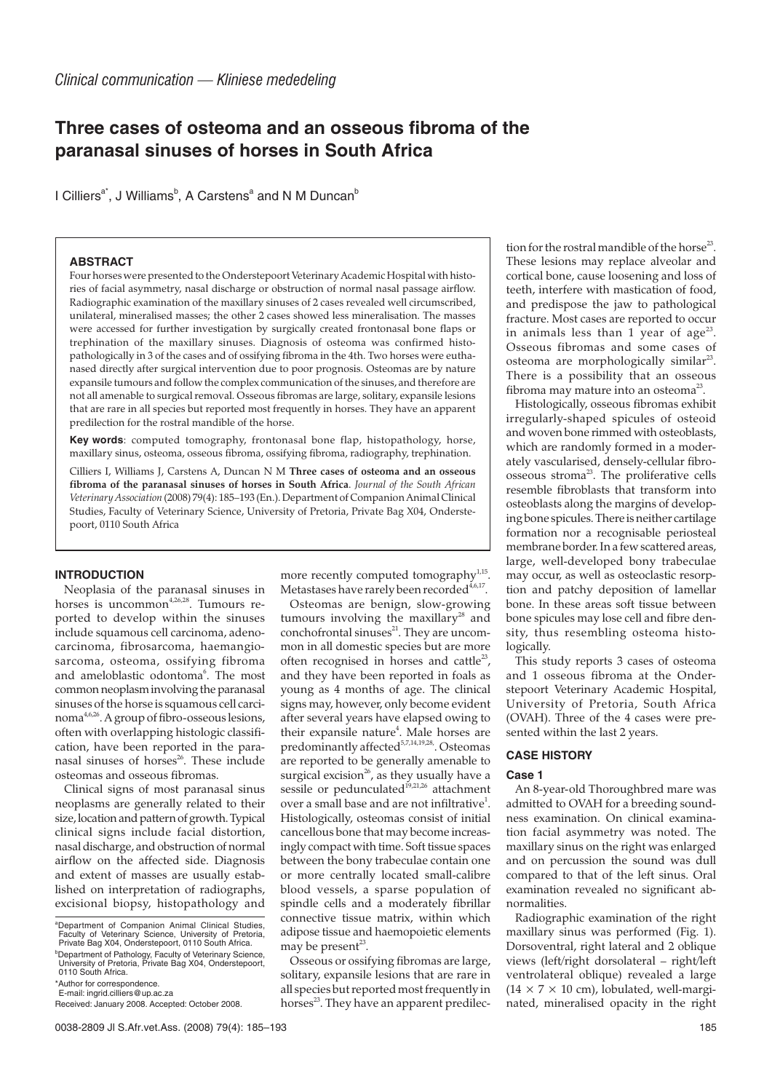# **Three cases of osteoma and an osseous fibroma of the paranasal sinuses of horses in South Africa**

I Cilliers<sup>a\*</sup>, J Williams<sup>b</sup>, A Carstens<sup>a</sup> and N M Duncan<sup>b</sup>

## **ABSTRACT**

Four horses were presented to the Onderstepoort Veterinary Academic Hospital with histories of facial asymmetry, nasal discharge or obstruction of normal nasal passage airflow. Radiographic examination of the maxillary sinuses of 2 cases revealed well circumscribed, unilateral, mineralised masses; the other 2 cases showed less mineralisation. The masses were accessed for further investigation by surgically created frontonasal bone flaps or trephination of the maxillary sinuses. Diagnosis of osteoma was confirmed histopathologically in 3 of the cases and of ossifying fibroma in the 4th. Two horses were euthanased directly after surgical intervention due to poor prognosis. Osteomas are by nature expansile tumours and follow the complex communication of the sinuses, and therefore are not all amenable to surgical removal. Osseous fibromas are large, solitary, expansile lesions that are rare in all species but reported most frequently in horses. They have an apparent predilection for the rostral mandible of the horse.

**Key words**: computed tomography, frontonasal bone flap, histopathology, horse, maxillary sinus, osteoma, osseous fibroma, ossifying fibroma, radiography, trephination.

Cilliers I, Williams J, Carstens A, Duncan N M **Three cases of osteoma and an osseous fibroma of the paranasal sinuses of horses in South Africa**. *Journal of the South African Veterinary Association* (2008) 79(4): 185–193 (En.). Department of Companion Animal Clinical Studies, Faculty of Veterinary Science, University of Pretoria, Private Bag X04, Onderstepoort, 0110 South Africa

## **INTRODUCTION**

Neoplasia of the paranasal sinuses in horses is uncommon<sup>4,26,28</sup>. Tumours reported to develop within the sinuses include squamous cell carcinoma, adenocarcinoma, fibrosarcoma, haemangiosarcoma, osteoma, ossifying fibroma and ameloblastic odontoma<sup>6</sup>. The most common neoplasm involving the paranasal sinuses of the horse is squamous cell carcinoma4,6,26. A group of fibro-osseous lesions, often with overlapping histologic classification, have been reported in the paranasal sinuses of horses<sup>26</sup>. These include osteomas and osseous fibromas.

Clinical signs of most paranasal sinus neoplasms are generally related to their size, location and pattern of growth. Typical clinical signs include facial distortion, nasal discharge, and obstruction of normal airflow on the affected side. Diagnosis and extent of masses are usually established on interpretation of radiographs, excisional biopsy, histopathology and

more recently computed tomography<sup>1,15</sup> Metastases have rarely been recorded<sup>4,6,17</sup>.

Osteomas are benign, slow-growing tumours involving the maxillary<sup>28</sup> and conchofrontal sinuses $^{21}$ . They are uncommon in all domestic species but are more often recognised in horses and cattle $^{23}$ , and they have been reported in foals as young as 4 months of age. The clinical signs may, however, only become evident after several years have elapsed owing to their expansile nature<sup>4</sup>. Male horses are predominantly affected<sup>5,7,14,19,28</sup>. Osteomas are reported to be generally amenable to surgical excision<sup>26</sup>, as they usually have a sessile or pedunculated<sup>19,21,26</sup> attachment over a small base and are not infiltrative<sup>1</sup>. Histologically, osteomas consist of initial cancellous bone that may become increasingly compact with time. Soft tissue spaces between the bony trabeculae contain one or more centrally located small-calibre blood vessels, a sparse population of spindle cells and a moderately fibrillar connective tissue matrix, within which adipose tissue and haemopoietic elements may be present<sup>23</sup>.

Osseous or ossifying fibromas are large, solitary, expansile lesions that are rare in all species but reported most frequently in horses<sup>23</sup>. They have an apparent predilec-

tion for the rostral mandible of the horse<sup>23</sup>. These lesions may replace alveolar and cortical bone, cause loosening and loss of teeth, interfere with mastication of food, and predispose the jaw to pathological fracture. Most cases are reported to occur in animals less than 1 year of age<sup>23</sup>. Osseous fibromas and some cases of osteoma are morphologically similar<sup>23</sup>. There is a possibility that an osseous fibroma may mature into an osteoma<sup>23</sup>.

Histologically, osseous fibromas exhibit irregularly-shaped spicules of osteoid and woven bone rimmed with osteoblasts, which are randomly formed in a moderately vascularised, densely-cellular fibroosseous stroma<sup>23</sup>. The proliferative cells resemble fibroblasts that transform into osteoblasts along the margins of developing bone spicules. There is neither cartilage formation nor a recognisable periosteal membrane border. In a few scattered areas, large, well-developed bony trabeculae may occur, as well as osteoclastic resorption and patchy deposition of lamellar bone. In these areas soft tissue between bone spicules may lose cell and fibre density, thus resembling osteoma histologically.

This study reports 3 cases of osteoma and 1 osseous fibroma at the Onderstepoort Veterinary Academic Hospital, University of Pretoria, South Africa (OVAH). Three of the 4 cases were presented within the last 2 years.

## **CASE HISTORY**

#### **Case 1**

An 8-year-old Thoroughbred mare was admitted to OVAH for a breeding soundness examination. On clinical examination facial asymmetry was noted. The maxillary sinus on the right was enlarged and on percussion the sound was dull compared to that of the left sinus. Oral examination revealed no significant abnormalities.

Radiographic examination of the right maxillary sinus was performed (Fig. 1). Dorsoventral, right lateral and 2 oblique views (left/right dorsolateral – right/left ventrolateral oblique) revealed a large  $(14 \times 7 \times 10$  cm), lobulated, well-marginated, mineralised opacity in the right

<sup>&</sup>lt;sup>a</sup>Department of Companion Animal Clinical Studies, Faculty of Veterinary Science, University of Pretoria, Private Bag X04, Onderstepoort, 0110 South Africa.

b Department of Pathology, Faculty of Veterinary Science, University of Pretoria, Private Bag X04, Onderstepoort, 0110 South Africa.

<sup>\*</sup>Author for correspondence.

E-mail: ingrid.cilliers@up.ac.za

Received: January 2008. Accepted: October 2008.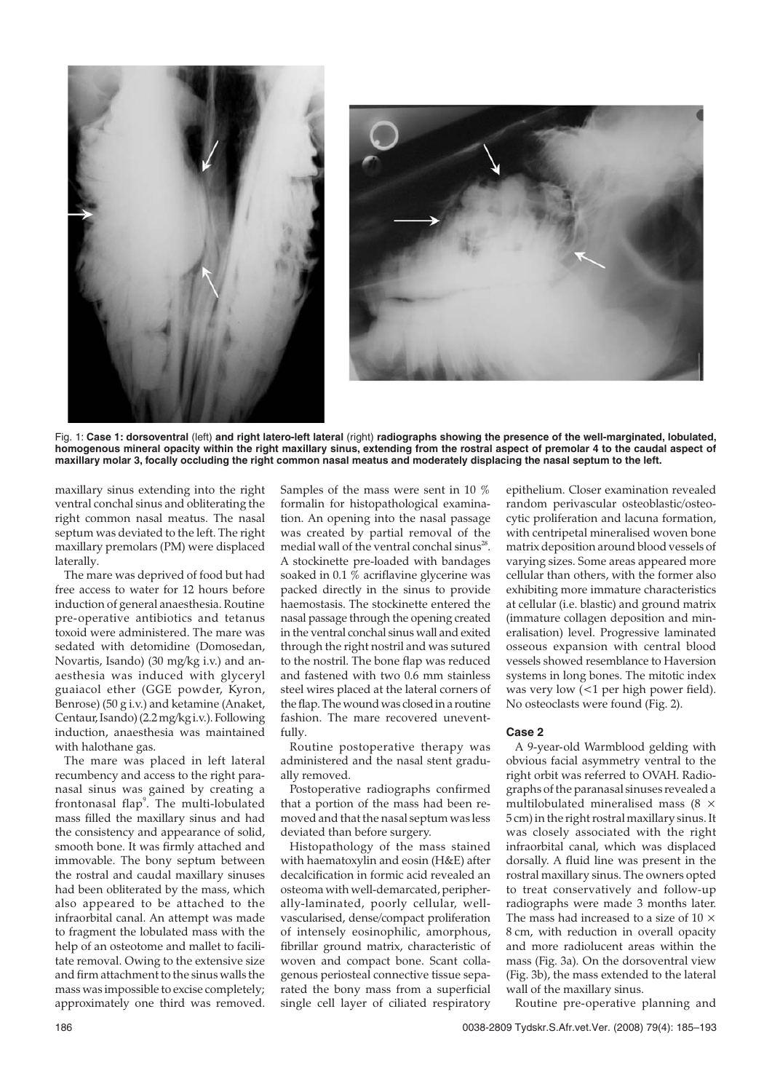



Fig. 1: **Case 1: dorsoventral** (left) **and right latero-left lateral** (right) **radiographs showing the presence of the well-marginated, lobulated, homogenous mineral opacity within the right maxillary sinus, extending from the rostral aspect of premolar 4 to the caudal aspect of maxillary molar 3, focally occluding the right common nasal meatus and moderately displacing the nasal septum to the left.**

maxillary sinus extending into the right ventral conchal sinus and obliterating the right common nasal meatus. The nasal septum was deviated to the left. The right maxillary premolars (PM) were displaced laterally.

The mare was deprived of food but had free access to water for 12 hours before induction of general anaesthesia. Routine pre-operative antibiotics and tetanus toxoid were administered. The mare was sedated with detomidine (Domosedan, Novartis, Isando) (30 mg/kg i.v.) and anaesthesia was induced with glyceryl guaiacol ether (GGE powder, Kyron, Benrose) (50 g i.v.) and ketamine (Anaket, Centaur, Isando) (2.2 mg/kg i.v.). Following induction, anaesthesia was maintained with halothane gas.

The mare was placed in left lateral recumbency and access to the right paranasal sinus was gained by creating a frontonasal flap<sup>9</sup>. The multi-lobulated mass filled the maxillary sinus and had the consistency and appearance of solid, smooth bone. It was firmly attached and immovable. The bony septum between the rostral and caudal maxillary sinuses had been obliterated by the mass, which also appeared to be attached to the infraorbital canal. An attempt was made to fragment the lobulated mass with the help of an osteotome and mallet to facilitate removal. Owing to the extensive size and firm attachment to the sinus walls the mass was impossible to excise completely; approximately one third was removed.

Samples of the mass were sent in 10 % formalin for histopathological examination. An opening into the nasal passage was created by partial removal of the medial wall of the ventral conchal sinus<sup>28</sup>. A stockinette pre-loaded with bandages soaked in 0.1  $\frac{7}{2}$  acriflavine glycerine was packed directly in the sinus to provide haemostasis. The stockinette entered the nasal passage through the opening created in the ventral conchal sinus wall and exited through the right nostril and was sutured to the nostril. The bone flap was reduced and fastened with two  $0.\overline{6}$  mm stainless steel wires placed at the lateral corners of the flap. The wound was closed in a routine fashion. The mare recovered uneventfully.

Routine postoperative therapy was administered and the nasal stent gradually removed.

Postoperative radiographs confirmed that a portion of the mass had been removed and that the nasal septum was less deviated than before surgery.

Histopathology of the mass stained with haematoxylin and eosin (H&E) after decalcification in formic acid revealed an osteoma with well-demarcated, peripherally-laminated, poorly cellular, wellvascularised, dense/compact proliferation of intensely eosinophilic, amorphous, fibrillar ground matrix, characteristic of woven and compact bone. Scant collagenous periosteal connective tissue separated the bony mass from a superficial single cell layer of ciliated respiratory

epithelium. Closer examination revealed random perivascular osteoblastic/osteocytic proliferation and lacuna formation, with centripetal mineralised woven bone matrix deposition around blood vessels of varying sizes. Some areas appeared more cellular than others, with the former also exhibiting more immature characteristics at cellular (i.e. blastic) and ground matrix (immature collagen deposition and mineralisation) level. Progressive laminated osseous expansion with central blood vessels showed resemblance to Haversion systems in long bones. The mitotic index was very low (<1 per high power field). No osteoclasts were found (Fig. 2).

#### **Case 2**

A 9-year-old Warmblood gelding with obvious facial asymmetry ventral to the right orbit was referred to OVAH. Radiographs of the paranasal sinuses revealed a multilobulated mineralised mass (8 × 5 cm) in the right rostral maxillary sinus. It was closely associated with the right infraorbital canal, which was displaced dorsally. A fluid line was present in the rostral maxillary sinus. The owners opted to treat conservatively and follow-up radiographs were made 3 months later. The mass had increased to a size of  $10 \times$ 8 cm, with reduction in overall opacity and more radiolucent areas within the mass (Fig. 3a). On the dorsoventral view (Fig. 3b), the mass extended to the lateral wall of the maxillary sinus.

Routine pre-operative planning and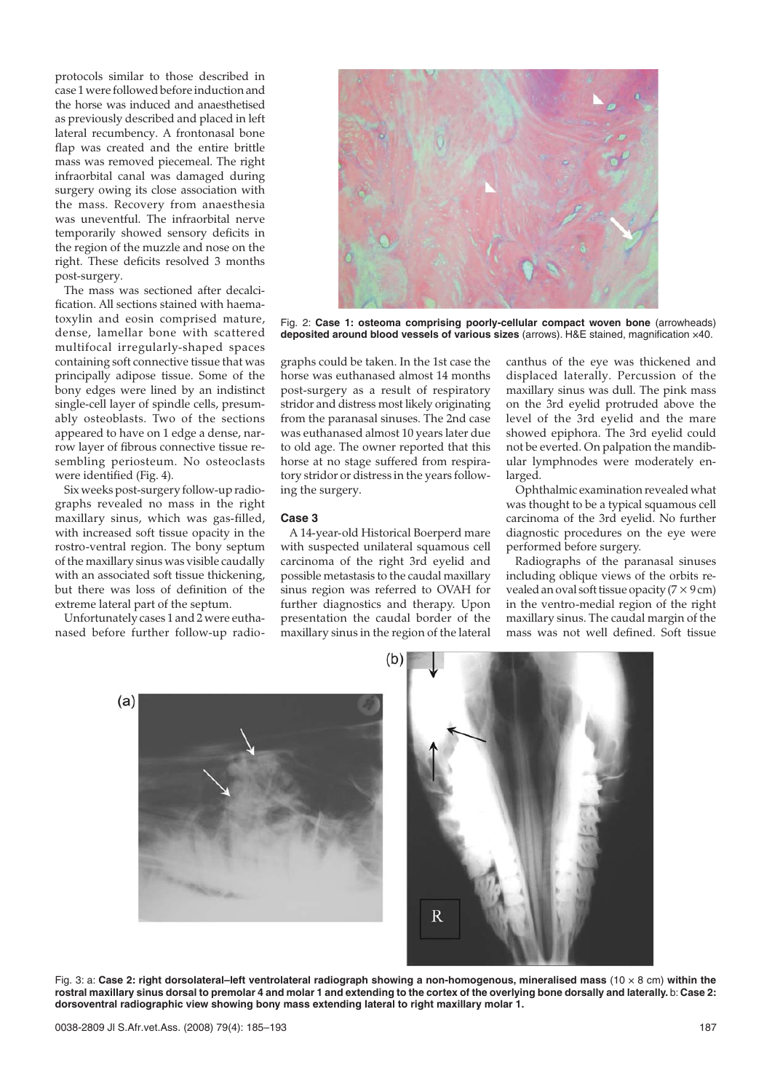protocols similar to those described in case 1 were followed before induction and the horse was induced and anaesthetised as previously described and placed in left lateral recumbency. A frontonasal bone flap was created and the entire brittle mass was removed piecemeal. The right infraorbital canal was damaged during surgery owing its close association with the mass. Recovery from anaesthesia was uneventful. The infraorbital nerve temporarily showed sensory deficits in the region of the muzzle and nose on the right. These deficits resolved 3 months post-surgery.

The mass was sectioned after decalcification. All sections stained with haematoxylin and eosin comprised mature, dense, lamellar bone with scattered multifocal irregularly-shaped spaces containing soft connective tissue that was principally adipose tissue. Some of the bony edges were lined by an indistinct single-cell layer of spindle cells, presumably osteoblasts. Two of the sections appeared to have on 1 edge a dense, narrow layer of fibrous connective tissue resembling periosteum. No osteoclasts were identified (Fig. 4).

Six weeks post-surgery follow-up radiographs revealed no mass in the right maxillary sinus, which was gas-filled, with increased soft tissue opacity in the rostro-ventral region. The bony septum of the maxillary sinus was visible caudally with an associated soft tissue thickening, but there was loss of definition of the extreme lateral part of the septum.

Unfortunately cases 1 and 2 were euthanased before further follow-up radio-



Fig. 2: **Case 1: osteoma comprising poorly-cellular compact woven bone** (arrowheads) **deposited around blood vessels of various sizes** (arrows). H&E stained, magnification ×40.

graphs could be taken. In the 1st case the horse was euthanased almost 14 months post-surgery as a result of respiratory stridor and distress most likely originating from the paranasal sinuses. The 2nd case was euthanased almost 10 years later due to old age. The owner reported that this horse at no stage suffered from respiratory stridor or distress in the years following the surgery.

### **Case 3**

A 14-year-old Historical Boerperd mare with suspected unilateral squamous cell carcinoma of the right 3rd eyelid and possible metastasis to the caudal maxillary sinus region was referred to OVAH for further diagnostics and therapy. Upon presentation the caudal border of the maxillary sinus in the region of the lateral

canthus of the eye was thickened and displaced laterally. Percussion of the maxillary sinus was dull. The pink mass on the 3rd eyelid protruded above the level of the 3rd eyelid and the mare showed epiphora. The 3rd eyelid could not be everted. On palpation the mandibular lymphnodes were moderately enlarged.

Ophthalmic examination revealed what was thought to be a typical squamous cell carcinoma of the 3rd eyelid. No further diagnostic procedures on the eye were performed before surgery.

Radiographs of the paranasal sinuses including oblique views of the orbits revealed an oval soft tissue opacity  $(7 \times 9 \text{ cm})$ in the ventro-medial region of the right maxillary sinus. The caudal margin of the mass was not well defined. Soft tissue



Fig. 3: a: **Case 2: right dorsolateral–left ventrolateral radiograph showing a non-homogenous, mineralised mass** (10 × 8 cm) **within the rostral maxillary sinus dorsal to premolar 4 and molar 1 and extending to the cortex of the overlying bone dorsally and laterally.** b: **Case 2: dorsoventral radiographic view showing bony mass extending lateral to right maxillary molar 1.**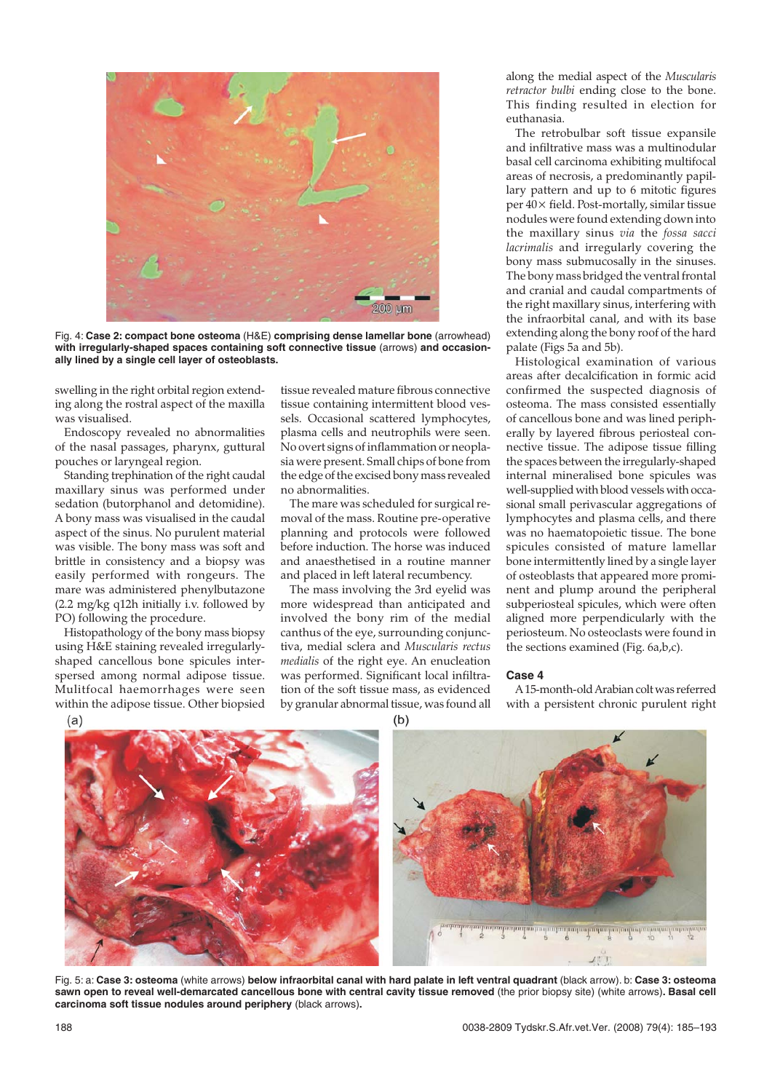

Fig. 4: **Case 2: compact bone osteoma** (H&E) **comprising dense lamellar bone** (arrowhead) **with irregularly-shaped spaces containing soft connective tissue** (arrows) **and occasionally lined by a single cell layer of osteoblasts.**

swelling in the right orbital region extending along the rostral aspect of the maxilla was visualised.

Endoscopy revealed no abnormalities of the nasal passages, pharynx, guttural pouches or laryngeal region.

Standing trephination of the right caudal maxillary sinus was performed under sedation (butorphanol and detomidine). A bony mass was visualised in the caudal aspect of the sinus. No purulent material was visible. The bony mass was soft and brittle in consistency and a biopsy was easily performed with rongeurs. The mare was administered phenylbutazone (2.2 mg/kg q12h initially i.v. followed by PO) following the procedure.

Histopathology of the bony mass biopsy using H&E staining revealed irregularlyshaped cancellous bone spicules interspersed among normal adipose tissue. Mulitfocal haemorrhages were seen within the adipose tissue. Other biopsied

tissue revealed mature fibrous connective tissue containing intermittent blood vessels. Occasional scattered lymphocytes, plasma cells and neutrophils were seen. No overt signs of inflammation or neoplasia were present. Small chips of bone from the edge of the excised bony mass revealed no abnormalities.

The mare was scheduled for surgical removal of the mass. Routine pre-operative planning and protocols were followed before induction. The horse was induced and anaesthetised in a routine manner and placed in left lateral recumbency.

The mass involving the 3rd eyelid was more widespread than anticipated and involved the bony rim of the medial canthus of the eye, surrounding conjunctiva, medial sclera and *Muscularis rectus medialis* of the right eye. An enucleation was performed. Significant local infiltration of the soft tissue mass, as evidenced by granular abnormal tissue, was found all

along the medial aspect of the *Muscularis retractor bulbi* ending close to the bone. This finding resulted in election for euthanasia.

The retrobulbar soft tissue expansile and infiltrative mass was a multinodular basal cell carcinoma exhibiting multifocal areas of necrosis, a predominantly papillary pattern and up to 6 mitotic figures per 40× field. Post-mortally, similar tissue nodules were found extending down into the maxillary sinus *via* the *fossa sacci lacrimalis* and irregularly covering the bony mass submucosally in the sinuses. The bony mass bridged the ventral frontal and cranial and caudal compartments of the right maxillary sinus, interfering with the infraorbital canal, and with its base extending along the bony roof of the hard palate (Figs 5a and 5b).

Histological examination of various areas after decalcification in formic acid confirmed the suspected diagnosis of osteoma. The mass consisted essentially of cancellous bone and was lined peripherally by layered fibrous periosteal connective tissue. The adipose tissue filling the spaces between the irregularly-shaped internal mineralised bone spicules was well-supplied with blood vessels with occasional small perivascular aggregations of lymphocytes and plasma cells, and there was no haematopoietic tissue. The bone spicules consisted of mature lamellar bone intermittently lined by a single layer of osteoblasts that appeared more prominent and plump around the peripheral subperiosteal spicules, which were often aligned more perpendicularly with the periosteum. No osteoclasts were found in the sections examined (Fig. 6a,b,c).

## **Case 4**

A 15-month-old Arabian colt was referred with a persistent chronic purulent right



Fig. 5: a: **Case 3: osteoma** (white arrows) **below infraorbital canal with hard palate in left ventral quadrant** (black arrow). b: **Case 3: osteoma sawn open to reveal well-demarcated cancellous bone with central cavity tissue removed** (the prior biopsy site) (white arrows)**. Basal cell carcinoma soft tissue nodules around periphery** (black arrows)**.**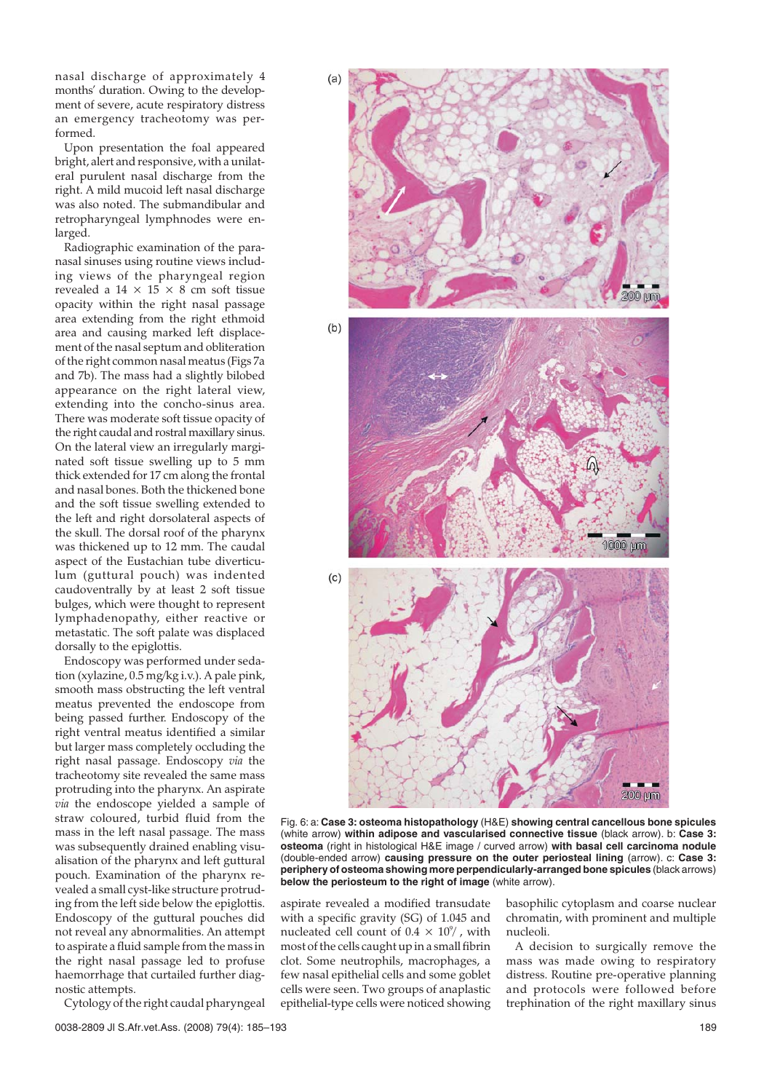nasal discharge of approximately 4 months' duration. Owing to the development of severe, acute respiratory distress an emergency tracheotomy was performed.

Upon presentation the foal appeared bright, alert and responsive, with a unilateral purulent nasal discharge from the right. A mild mucoid left nasal discharge was also noted. The submandibular and retropharyngeal lymphnodes were enlarged.

Radiographic examination of the paranasal sinuses using routine views including views of the pharyngeal region revealed a  $14 \times 15 \times 8$  cm soft tissue opacity within the right nasal passage area extending from the right ethmoid area and causing marked left displacement of the nasal septum and obliteration of the right common nasal meatus (Figs 7a and 7b). The mass had a slightly bilobed appearance on the right lateral view, extending into the concho-sinus area. There was moderate soft tissue opacity of the right caudal and rostral maxillary sinus. On the lateral view an irregularly marginated soft tissue swelling up to 5 mm thick extended for 17 cm along the frontal and nasal bones. Both the thickened bone and the soft tissue swelling extended to the left and right dorsolateral aspects of the skull. The dorsal roof of the pharynx was thickened up to 12 mm. The caudal aspect of the Eustachian tube diverticulum (guttural pouch) was indented caudoventrally by at least 2 soft tissue bulges, which were thought to represent lymphadenopathy, either reactive or metastatic. The soft palate was displaced dorsally to the epiglottis.

Endoscopy was performed under sedation (xylazine, 0.5 mg/kg i.v.). A pale pink, smooth mass obstructing the left ventral meatus prevented the endoscope from being passed further. Endoscopy of the right ventral meatus identified a similar but larger mass completely occluding the right nasal passage. Endoscopy *via* the tracheotomy site revealed the same mass protruding into the pharynx. An aspirate *via* the endoscope yielded a sample of straw coloured, turbid fluid from the mass in the left nasal passage. The mass was subsequently drained enabling visualisation of the pharynx and left guttural pouch. Examination of the pharynx revealed a small cyst-like structure protruding from the left side below the epiglottis. Endoscopy of the guttural pouches did not reveal any abnormalities. An attempt to aspirate a fluid sample from the mass in the right nasal passage led to profuse haemorrhage that curtailed further diagnostic attempts.

Cytology of the right caudal pharyngeal



Fig. 6: a: **Case 3: osteoma histopathology** (H&E) **showing central cancellous bone spicules** (white arrow) **within adipose and vascularised connective tissue** (black arrow). b: **Case 3: osteoma** (right in histological H&E image / curved arrow) **with basal cell carcinoma nodule** (double-ended arrow) **causing pressure on the outer periosteal lining** (arrow). c: **Case 3: periphery of osteoma showing more perpendicularly-arranged bone spicules** (black arrows) **below the periosteum to the right of image** (white arrow).

aspirate revealed a modified transudate with a specific gravity (SG) of 1.045 and nucleated cell count of  $0.4 \times 10^9$ , with most of the cells caught up in a small fibrin clot. Some neutrophils, macrophages, a few nasal epithelial cells and some goblet cells were seen. Two groups of anaplastic epithelial-type cells were noticed showing

basophilic cytoplasm and coarse nuclear chromatin, with prominent and multiple nucleoli.

A decision to surgically remove the mass was made owing to respiratory distress. Routine pre-operative planning and protocols were followed before trephination of the right maxillary sinus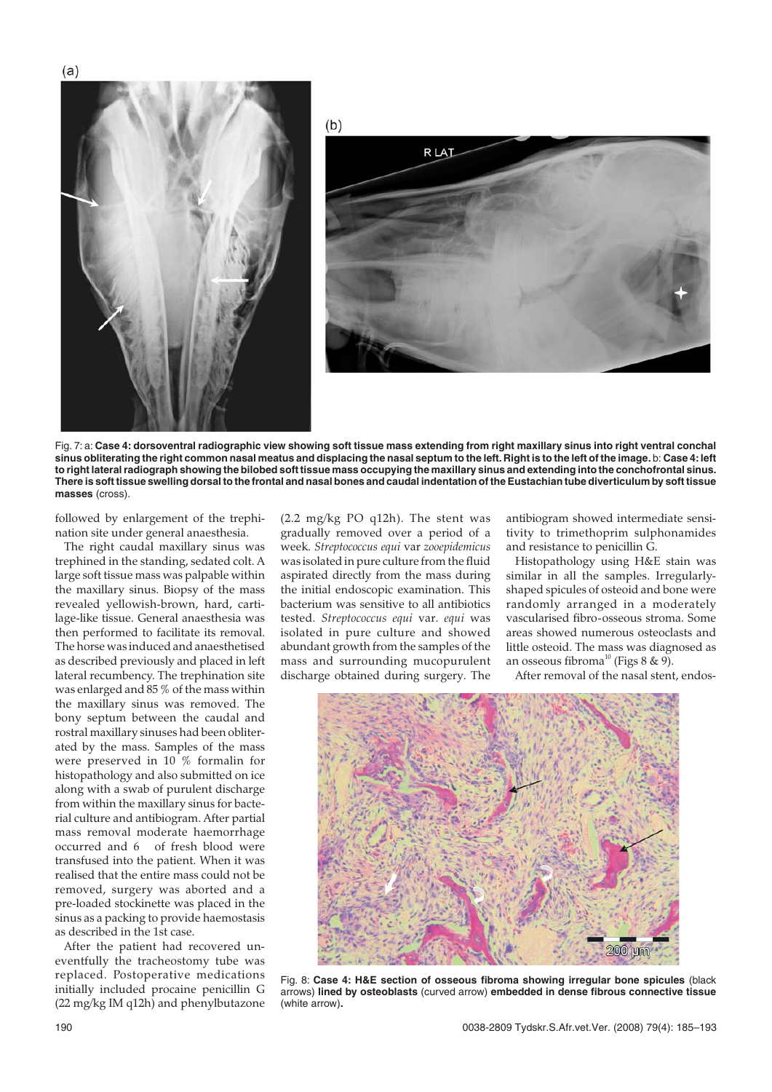



Fig. 7: a: **Case 4: dorsoventral radiographic view showing soft tissue mass extending from right maxillary sinus into right ventral conchal sinus obliterating the right common nasal meatus and displacing the nasal septum to the left. Right is to the left of the image.** b: **Case 4: left to right lateral radiograph showing the bilobed soft tissue mass occupying the maxillary sinus and extending into the conchofrontal sinus. There is soft tissue swelling dorsal to the frontal and nasal bones and caudal indentation of the Eustachian tube diverticulum by soft tissue masses** (cross).

followed by enlargement of the trephination site under general anaesthesia.

The right caudal maxillary sinus was trephined in the standing, sedated colt. A large soft tissue mass was palpable within the maxillary sinus. Biopsy of the mass revealed yellowish-brown, hard, cartilage-like tissue. General anaesthesia was then performed to facilitate its removal. The horse was induced and anaesthetised as described previously and placed in left lateral recumbency. The trephination site was enlarged and 85 % of the mass within the maxillary sinus was removed. The bony septum between the caudal and rostral maxillary sinuses had been obliterated by the mass. Samples of the mass were preserved in 10 % formalin for histopathology and also submitted on ice along with a swab of purulent discharge from within the maxillary sinus for bacterial culture and antibiogram. After partial mass removal moderate haemorrhage occurred and 6 of fresh blood were transfused into the patient. When it was realised that the entire mass could not be removed, surgery was aborted and a pre-loaded stockinette was placed in the sinus as a packing to provide haemostasis as described in the 1st case.

After the patient had recovered uneventfully the tracheostomy tube was replaced. Postoperative medications initially included procaine penicillin G (22 mg/kg IM q12h) and phenylbutazone (2.2 mg/kg PO q12h). The stent was gradually removed over a period of a week. *Streptococcus equi* var *zooepidemicus* was isolated in pure culture from the fluid aspirated directly from the mass during the initial endoscopic examination. This bacterium was sensitive to all antibiotics tested. *Streptococcus equi* var. *equi* was isolated in pure culture and showed abundant growth from the samples of the mass and surrounding mucopurulent discharge obtained during surgery. The

antibiogram showed intermediate sensitivity to trimethoprim sulphonamides and resistance to penicillin G.

Histopathology using H&E stain was similar in all the samples. Irregularlyshaped spicules of osteoid and bone were randomly arranged in a moderately vascularised fibro-osseous stroma. Some areas showed numerous osteoclasts and little osteoid. The mass was diagnosed as an osseous fibroma<sup>10</sup> (Figs  $8 \& 9$ ).

After removal of the nasal stent, endos-



Fig. 8: **Case 4: H&E section of osseous fibroma showing irregular bone spicules** (black arrows) **lined by osteoblasts** (curved arrow) **embedded in dense fibrous connective tissue** (white arrow)**.**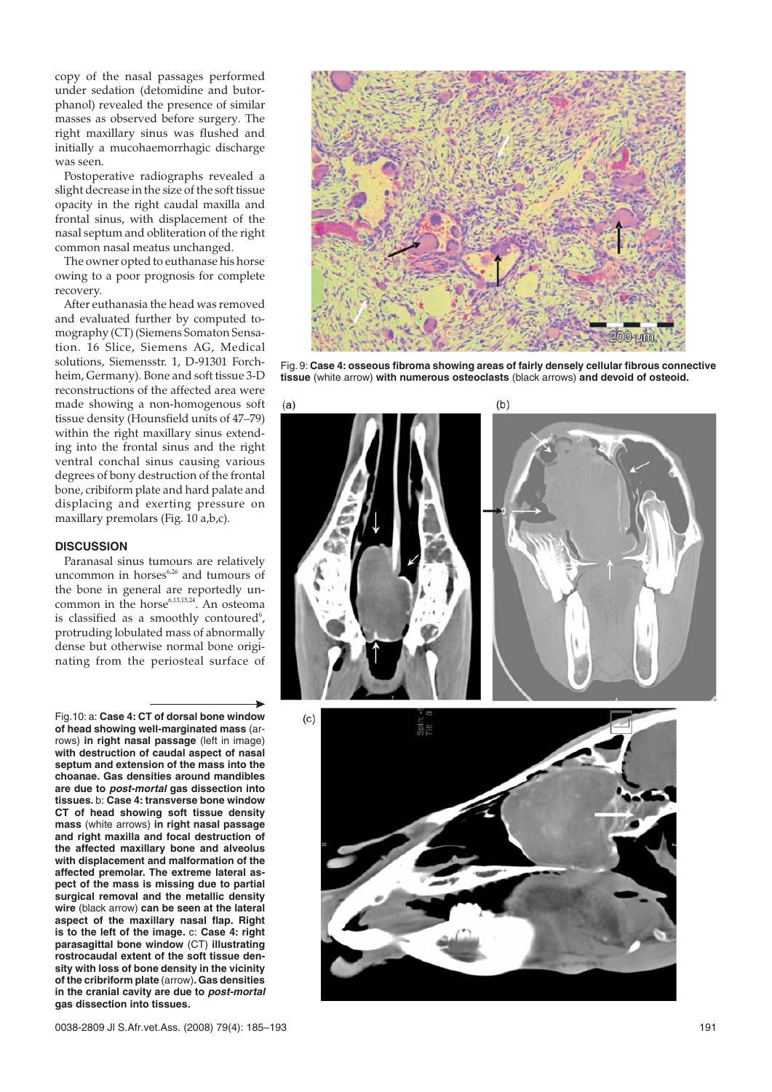copy of the nasal passages performed under sedation (detomidine and butorphanol) revealed the presence of similar masses as observed before surgery. The right maxillary sinus was flushed and initially a mucohaemorrhagic discharge was seen.

Postoperative radiographs revealed a slight decrease in the size of the soft tissue opacity in the right caudal maxilla and frontal sinus, with displacement of the nasal septum and obliteration of the right common nasal meatus unchanged.

The owner opted to euthanase his horse owing to a poor prognosis for complete recovery.

After euthanasia the head was removed and evaluated further by computed tomography (CT) (Siemens Somaton Sensation. 16 Slice, Siemens AG, Medical solutions, Siemensstr. 1, D-91301 Forchheim, Germany). Bone and soft tissue 3-D reconstructions of the affected area were made showing a non-homogenous soft tissue density (Hounsfield units of 47–79) within the right maxillary sinus extending into the frontal sinus and the right ventral conchal sinus causing various degrees of bony destruction of the frontal bone, cribiform plate and hard palate and displacing and exerting pressure on maxillary premolars (Fig. 10 a,b,c).

## **DISCUSSION**

Paranasal sinus tumours are relatively uncommon in horses $6,26$  and tumours of the bone in general are reportedly uncommon in the horse<sup>6,13,15,24</sup>. An osteoma is classified as a smoothly contoured $^6$ , protruding lobulated mass of abnormally dense but otherwise normal bone originating from the periosteal surface of

Fig.10: a: **Case 4: CT of dorsal bone window of head showing well-marginated mass** (arrows) **in right nasal passage** (left in image) **with destruction of caudal aspect of nasal septum and extension of the mass into the choanae. Gas densities around mandibles are due to post-mortal gas dissection into tissues.** b: **Case 4: transverse bone window CT of head showing soft tissue density mass** (white arrows) **in right nasal passage and right maxilla and focal destruction of the affected maxillary bone and alveolus with displacement and malformation of the affected premolar. The extreme lateral aspect of the mass is missing due to partial surgical removal and the metallic density wire** (black arrow) **can be seen at the lateral aspect of the maxillary nasal flap. Right is to the left of the image.** c: **Case 4: right parasagittal bone window** (CT) **illustrating rostrocaudal extent of the soft tissue density with loss of bone density in the vicinity of the cribriform plate** (arrow)**. Gas densities in the cranial cavity are due to post-mortal gas dissection into tissues.**



Fig. 9: **Case 4: osseous fibroma showing areas of fairly densely cellular fibrous connective tissue** (white arrow) **with numerous osteoclasts** (black arrows) **and devoid of osteoid.**

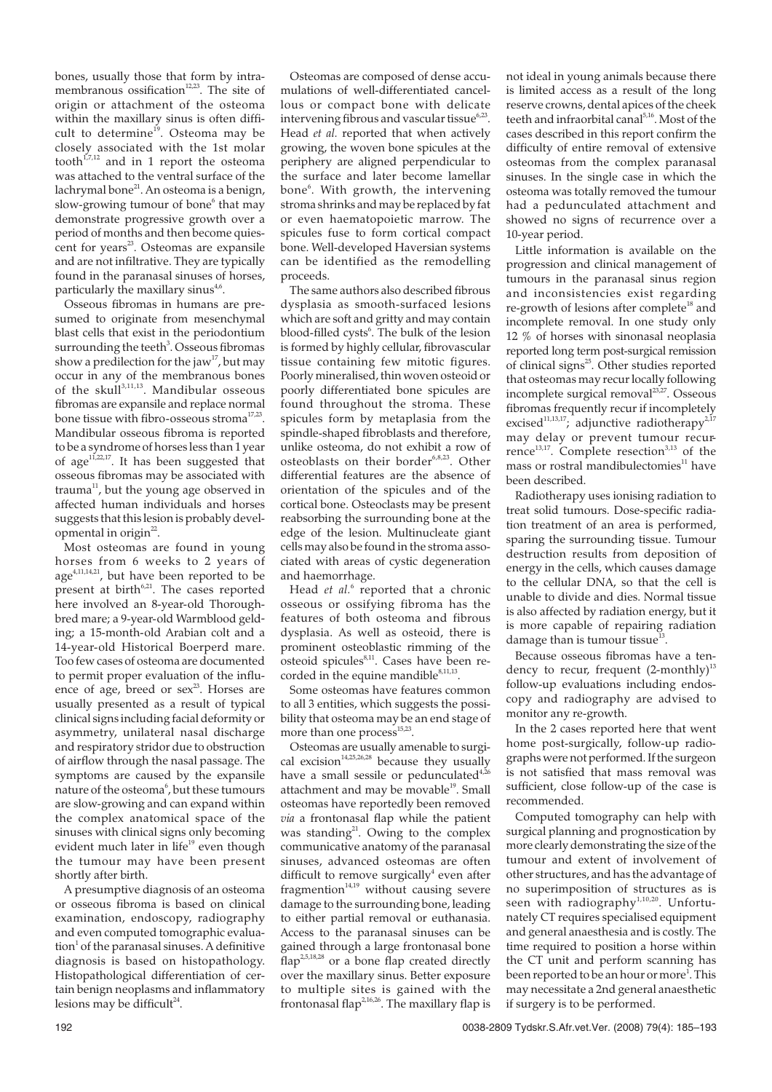bones, usually those that form by intramembranous ossification<sup>12,23</sup>. The site of origin or attachment of the osteoma within the maxillary sinus is often difficult to determine<sup>19</sup>. Osteoma may be closely associated with the 1st molar tooth $1/7,12$  and in 1 report the osteoma was attached to the ventral surface of the lachrymal bone<sup>21</sup>. An osteoma is a benign, slow-growing tumour of bone<sup>6</sup> that may demonstrate progressive growth over a period of months and then become quiescent for years<sup>23</sup>. Osteomas are expansile and are not infiltrative. They are typically found in the paranasal sinuses of horses, particularly the maxillary sinus $4.6$ .

Osseous fibromas in humans are presumed to originate from mesenchymal blast cells that exist in the periodontium surrounding the teeth $^3$ . Osseous fibromas show a predilection for the jaw<sup>17</sup>, but may occur in any of the membranous bones of the skull<sup>3,11,13</sup>. Mandibular osseous fibromas are expansile and replace normal bone tissue with fibro-osseous stroma<sup>17,23</sup>. Mandibular osseous fibroma is reported to be a syndrome of horses less than 1 year of age $11,22,17$ . It has been suggested that osseous fibromas may be associated with trauma<sup>11</sup>, but the young age observed in affected human individuals and horses suggests that this lesion is probably developmental in origin $22$ .

Most osteomas are found in young horses from 6 weeks to 2 years of age<sup>4,11,14,21</sup>, but have been reported to be present at birth<sup>6,21</sup>. The cases reported here involved an 8-year-old Thoroughbred mare; a 9-year-old Warmblood gelding; a 15-month-old Arabian colt and a 14-year-old Historical Boerperd mare. Too few cases of osteoma are documented to permit proper evaluation of the influence of age, breed or  $sex^{23}$ . Horses are usually presented as a result of typical clinical signs including facial deformity or asymmetry, unilateral nasal discharge and respiratory stridor due to obstruction of airflow through the nasal passage. The symptoms are caused by the expansile nature of the osteoma $^{\circ}$ , but these tumours are slow-growing and can expand within the complex anatomical space of the sinuses with clinical signs only becoming evident much later in life<sup>19</sup> even though the tumour may have been present shortly after birth.

A presumptive diagnosis of an osteoma or osseous fibroma is based on clinical examination, endoscopy, radiography and even computed tomographic evaluation $^1$  of the paranasal sinuses. A definitive diagnosis is based on histopathology. Histopathological differentiation of certain benign neoplasms and inflammatory lesions may be difficult<sup>24</sup>.

Osteomas are composed of dense accumulations of well-differentiated cancellous or compact bone with delicate intervening fibrous and vascular tissue $6.23$ . Head *et al.* reported that when actively growing, the woven bone spicules at the periphery are aligned perpendicular to the surface and later become lamellar bone<sup>6</sup>. With growth, the intervening stroma shrinks and may be replaced by fat or even haematopoietic marrow. The spicules fuse to form cortical compact bone. Well-developed Haversian systems can be identified as the remodelling proceeds.

The same authors also described fibrous dysplasia as smooth-surfaced lesions which are soft and gritty and may contain blood-filled cysts<sup>6</sup>. The bulk of the lesion is formed by highly cellular, fibrovascular tissue containing few mitotic figures. Poorly mineralised, thin woven osteoid or poorly differentiated bone spicules are found throughout the stroma. These spicules form by metaplasia from the spindle-shaped fibroblasts and therefore, unlike osteoma, do not exhibit a row of osteoblasts on their border<sup>6,8,23</sup>. Other differential features are the absence of orientation of the spicules and of the cortical bone. Osteoclasts may be present reabsorbing the surrounding bone at the edge of the lesion. Multinucleate giant cells may also be found in the stroma associated with areas of cystic degeneration and haemorrhage.

Head *et al.*<sup>6</sup> reported that a chronic osseous or ossifying fibroma has the features of both osteoma and fibrous dysplasia. As well as osteoid, there is prominent osteoblastic rimming of the  $\overline{\text{o}}$ steoid spicules<sup>8,11</sup>. Cases have been recorded in the equine mandible $8,11,13$ .

Some osteomas have features common to all 3 entities, which suggests the possibility that osteoma may be an end stage of more than one process<sup>15,23</sup>.

Osteomas are usually amenable to surgical excision<sup>14,25,26,28</sup> because they usually have a small sessile or pedunculated $4,26$ attachment and may be movable<sup>19</sup>. Small osteomas have reportedly been removed *via* a frontonasal flap while the patient was standing<sup>21</sup>. Owing to the complex communicative anatomy of the paranasal sinuses, advanced osteomas are often difficult to remove surgically $4$  even after fragmention $14,19}$  without causing severe damage to the surrounding bone, leading to either partial removal or euthanasia. Access to the paranasal sinuses can be gained through a large frontonasal bone  $\text{flap}^{2,5,18,28}$  or a bone flap created directly over the maxillary sinus. Better exposure to multiple sites is gained with the frontonasal flap<sup>2,16,26</sup>. The maxillary flap is

not ideal in young animals because there is limited access as a result of the long reserve crowns, dental apices of the cheek teeth and infraorbital canal<sup>5,16</sup>. Most of the cases described in this report confirm the difficulty of entire removal of extensive osteomas from the complex paranasal sinuses. In the single case in which the osteoma was totally removed the tumour had a pedunculated attachment and showed no signs of recurrence over a 10-year period.

Little information is available on the progression and clinical management of tumours in the paranasal sinus region and inconsistencies exist regarding re-growth of lesions after complete<sup>18</sup> and incomplete removal. In one study only 12 % of horses with sinonasal neoplasia reported long term post-surgical remission of clinical signs<sup>25</sup>. Other studies reported that osteomas may recur locally following incomplete surgical removal<sup>23,27</sup>. Osseous fibromas frequently recur if incompletely excised<sup>11,13,17</sup>; adjunctive radiotherapy<sup>2,17</sup> may delay or prevent tumour recurrence<sup>13,17</sup>. Complete resection<sup>3,13</sup> of the mass or rostral mandibulectomies $11$  have been described.

Radiotherapy uses ionising radiation to treat solid tumours. Dose-specific radiation treatment of an area is performed, sparing the surrounding tissue. Tumour destruction results from deposition of energy in the cells, which causes damage to the cellular DNA, so that the cell is unable to divide and dies. Normal tissue is also affected by radiation energy, but it is more capable of repairing radiation damage than is tumour tissue<sup>1</sup>

Because osseous fibromas have a tendency to recur, frequent  $(2$ -monthly)<sup>13</sup> follow-up evaluations including endoscopy and radiography are advised to monitor any re-growth.

In the 2 cases reported here that went home post-surgically, follow-up radiographs were not performed. If the surgeon is not satisfied that mass removal was sufficient, close follow-up of the case is recommended.

Computed tomography can help with surgical planning and prognostication by more clearly demonstrating the size of the tumour and extent of involvement of other structures, and has the advantage of no superimposition of structures as is seen with radiography<sup>1,10,20</sup>. Unfortunately CT requires specialised equipment and general anaesthesia and is costly. The time required to position a horse within the CT unit and perform scanning has been reported to be an hour or more<sup>1</sup>. This may necessitate a 2nd general anaesthetic if surgery is to be performed.